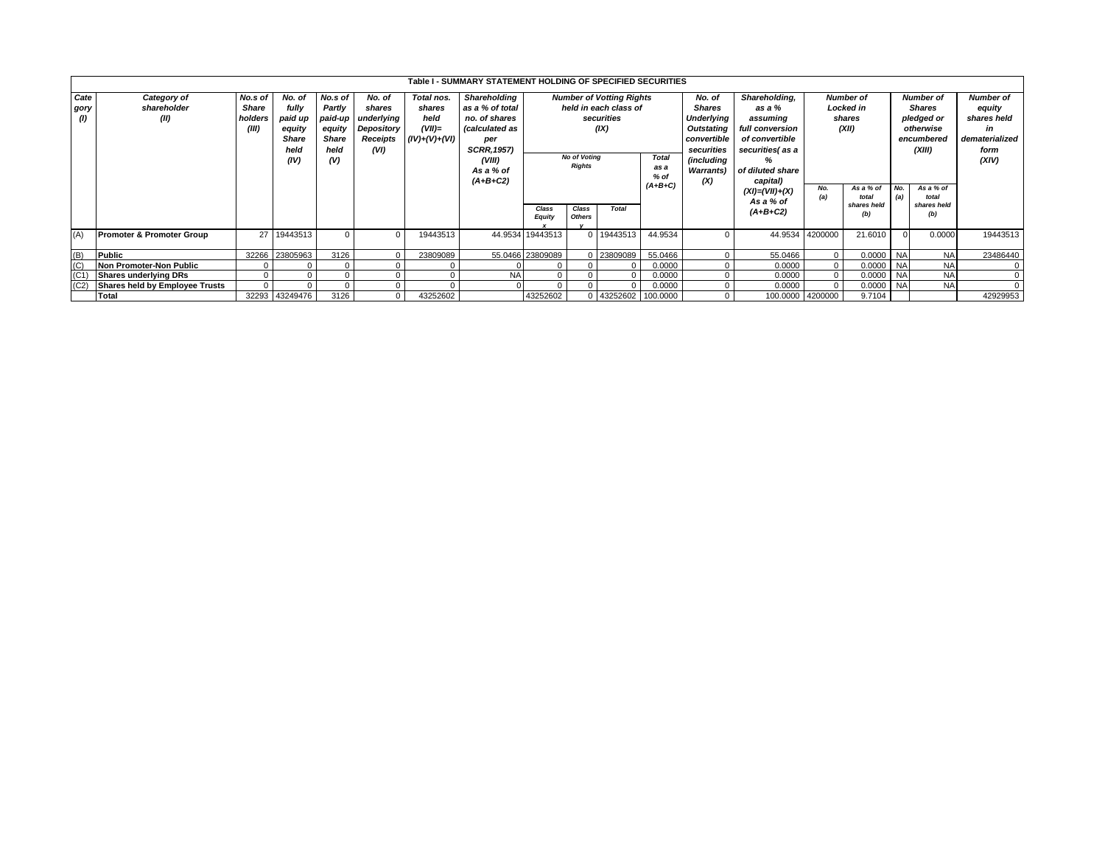|                   |                                      |              |                |         |            |                 | Table I - SUMMARY STATEMENT HOLDING OF SPECIFIED SECURITIES |                     |               |                                 |              |                               |                      |                  |                      |                  |                      |                  |
|-------------------|--------------------------------------|--------------|----------------|---------|------------|-----------------|-------------------------------------------------------------|---------------------|---------------|---------------------------------|--------------|-------------------------------|----------------------|------------------|----------------------|------------------|----------------------|------------------|
| Cate              | Category of                          | No.s of      | No. of         | No.s of | No. of     | Total nos.      | Shareholding                                                |                     |               | <b>Number of Votting Rights</b> |              | No. of                        | Shareholding,        | <b>Number of</b> |                      | <b>Number of</b> |                      | <b>Number of</b> |
| gory              | shareholder                          | <b>Share</b> | fully          | Partly  | shares     | shares          | as a % of total                                             |                     |               | held in each class of           |              | <b>Shares</b>                 | as a %               | Locked in        |                      | <b>Shares</b>    |                      | equity           |
| $\omega$          | (II)                                 | holders      | paid up        | paid-up | underlying | held            | no. of shares                                               |                     |               | securities                      |              | Underlying                    | assuming             | shares           |                      | pledged or       |                      | shares held      |
|                   |                                      | (III)        | equity         | equity  | Depository | $(VII)=$        | <i>(calculated as</i>                                       |                     |               | (IX)                            |              | full conversion<br>Outstating |                      | (XII)            |                      | otherwise        |                      | in               |
|                   |                                      |              | <b>Share</b>   | Share   | Receipts   | $(IV)+(V)+(VI)$ | per                                                         |                     |               |                                 |              | convertible                   | of convertible       |                  |                      | encumbered       |                      | dematerialized   |
|                   |                                      |              | held           | held    | (VI)       |                 | <b>SCRR, 1957)</b>                                          |                     |               |                                 |              | securities                    | securities(as a      |                  |                      |                  | (XIII)               | form             |
|                   |                                      |              | (IV)           | (V)     |            |                 | (VIII)                                                      | <b>No of Voting</b> |               |                                 | <b>Total</b> | (including                    | ℅                    |                  |                      |                  |                      | (XIV)            |
|                   |                                      |              |                |         |            |                 | As a % of                                                   | <b>Rights</b>       |               |                                 | as a         | <b>Warrants)</b>              | of diluted share     |                  |                      |                  |                      |                  |
|                   |                                      |              |                |         |            |                 | $(A+B+C2)$                                                  |                     |               |                                 | $%$ of       | (X)                           | capital)             |                  |                      |                  |                      |                  |
|                   |                                      |              |                |         |            |                 |                                                             |                     |               |                                 | $(A+B+C)$    |                               | $(XI) = (VII) + (X)$ | No.              | As a % of            | No.              | As a % of            |                  |
|                   |                                      |              |                |         |            |                 |                                                             |                     |               |                                 |              |                               | As a % of            | (a)              | total<br>shares held | (a)              | total<br>shares held |                  |
|                   |                                      |              |                |         |            |                 |                                                             | Class               | Class         | Total                           |              |                               | $(A+B+C2)$           |                  | (b)                  |                  | (b)                  |                  |
|                   |                                      |              |                |         |            |                 |                                                             | <b>Equity</b>       | <b>Others</b> |                                 |              |                               |                      |                  |                      |                  |                      |                  |
| (A)               | <b>Promoter &amp; Promoter Group</b> | 27           | 19443513       |         |            | 19443513        |                                                             | 44.9534 19443513    |               | 19443513                        | 44.9534      |                               | 44.9534              | 4200000          | 21.6010              |                  | 0.0000               | 19443513         |
|                   |                                      |              |                |         |            |                 |                                                             |                     |               |                                 |              |                               |                      |                  |                      |                  |                      |                  |
| (B)               | Public                               |              | 32266 23805963 | 3126    |            | 23809089        |                                                             | 55.0466 23809089    |               | 23809089                        | 55.0466      | $\Omega$                      | 55.0466              | $\overline{0}$   | 0.0000               | <b>NA</b>        | <b>NA</b>            | 23486440         |
| (C)               | Non Promoter-Non Public              |              |                |         |            |                 |                                                             |                     |               |                                 | 0.0000       | $\Omega$                      | 0.0000               | $\mathbf{0}$     | 0.0000 NA            |                  | <b>NA</b>            | $\mathbf{0}$     |
| (C <sub>1</sub> ) | <b>Shares underlying DRs</b>         |              |                |         |            |                 | <b>NA</b>                                                   | 0                   |               |                                 | 0.0000       | $\Omega$                      | 0.0000               | $\Omega$         | 0.0000 NA            |                  | <b>NA</b>            | $\mathbf{0}$     |
| (C2)              | Shares held by Employee Trusts       | $\Omega$     |                |         |            |                 |                                                             | $\Omega$            |               |                                 | 0.0000       |                               | 0.0000               |                  | 0.0000               | <b>NA</b>        | <b>NA</b>            | $\Omega$         |
|                   | Total                                |              | 32293 43249476 | 3126    |            | 43252602        |                                                             | 43252602            |               | 0 43252602 100.0000             |              | $\mathbf{0}$                  |                      | 100.0000 4200000 | 9.7104               |                  |                      | 42929953         |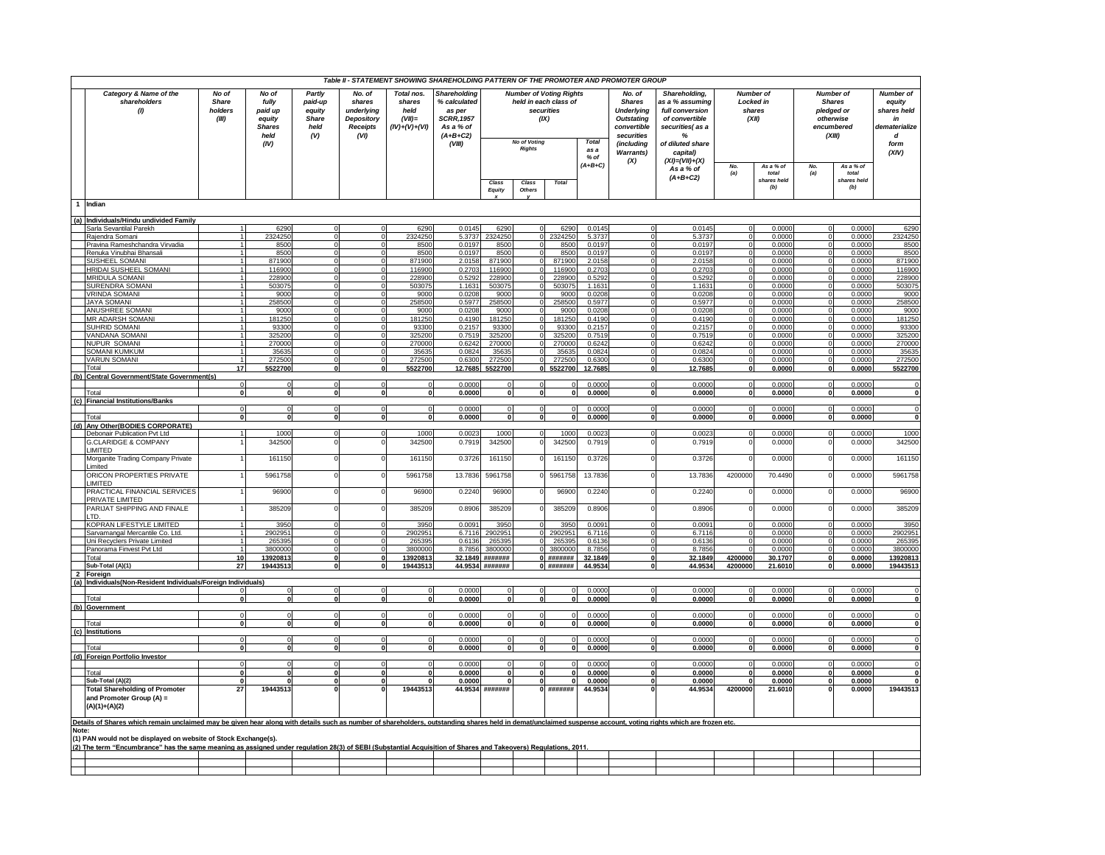|       |                                                                                                                                                                                                                |                                                                                                                                                                          |                 |                                                                                                                                         |                      | Table II - STATEMENT SHOWING SHAREHOLDING PATTERN OF THE PROMOTER AND PROMOTER GROUP             |                                                                                                                       |                 |                        |                      |                                                                                                              |                                                                                                                   |                                                             |                                                  |                    |                                                                                      |                    |                      |
|-------|----------------------------------------------------------------------------------------------------------------------------------------------------------------------------------------------------------------|--------------------------------------------------------------------------------------------------------------------------------------------------------------------------|-----------------|-----------------------------------------------------------------------------------------------------------------------------------------|----------------------|--------------------------------------------------------------------------------------------------|-----------------------------------------------------------------------------------------------------------------------|-----------------|------------------------|----------------------|--------------------------------------------------------------------------------------------------------------|-------------------------------------------------------------------------------------------------------------------|-------------------------------------------------------------|--------------------------------------------------|--------------------|--------------------------------------------------------------------------------------|--------------------|----------------------|
|       | Category & Name of the<br>shareholders<br>(1)                                                                                                                                                                  | No of<br>No of<br>Partly<br><b>Share</b><br>paid-up<br>fully<br>holders<br>paid up<br>equity<br>(III)<br>equity<br>Share<br><b>Shares</b><br>held<br>held<br>(V)<br>(IV) |                 | No. of<br>Total nos.<br>shares<br>shares<br>underlying<br>held<br>$(VII)$ =<br>Depository<br>$(IV)+(V)+(VI)$<br><b>Receipts</b><br>(VI) |                      | Shareholding<br>% calculated<br>as per<br><b>SCRR, 1957</b><br>As a % of<br>$(A+B+C2)$<br>(VIII) | <b>Number of Voting Rights</b><br>held in each class of<br>securities<br>(IX)<br><b>No of Voting</b><br><b>Rights</b> |                 |                        | Total<br>as a        | No. of<br><b>Shares</b><br><b>Underlying</b><br><b>Outstating</b><br>convertible<br>securities<br>(including | Shareholding,<br>as a % assuming<br>full conversion<br>of convertible<br>securities(as a<br>%<br>of diluted share |                                                             | <b>Number of</b><br>Locked in<br>shares<br>(XII) |                    | <b>Number of</b><br><b>Shares</b><br>pledged or<br>otherwise<br>encumbered<br>(XIII) |                    |                      |
|       |                                                                                                                                                                                                                |                                                                                                                                                                          |                 |                                                                                                                                         |                      |                                                                                                  |                                                                                                                       |                 |                        |                      | $%$ of<br>$(A+B+C)$                                                                                          | <b>Warrants)</b><br>(X)                                                                                           | capital)<br>$(XI) = (VII) + (X)$<br>As a % of<br>$(A+B+C2)$ | No.<br>(a)                                       | As a % of<br>total | No.<br>(a)                                                                           | As a % of<br>total | (XIV)                |
|       |                                                                                                                                                                                                                |                                                                                                                                                                          |                 |                                                                                                                                         |                      |                                                                                                  |                                                                                                                       | Class<br>Equity | Class<br><b>Others</b> | <b>Total</b>         |                                                                                                              |                                                                                                                   |                                                             |                                                  | shares held<br>(b) |                                                                                      | shares held<br>(b) |                      |
|       | 1 Indian                                                                                                                                                                                                       |                                                                                                                                                                          |                 |                                                                                                                                         |                      |                                                                                                  |                                                                                                                       |                 |                        |                      |                                                                                                              |                                                                                                                   |                                                             |                                                  |                    |                                                                                      |                    |                      |
|       | (a) Individuals/Hindu undivided Family                                                                                                                                                                         |                                                                                                                                                                          |                 |                                                                                                                                         |                      |                                                                                                  |                                                                                                                       |                 |                        |                      |                                                                                                              |                                                                                                                   |                                                             |                                                  |                    |                                                                                      |                    |                      |
|       | Sarla Sevantilal Parekh<br>Rajendra Somani                                                                                                                                                                     |                                                                                                                                                                          | 6290<br>2324250 |                                                                                                                                         | $\Omega$             | 6290<br>2324250                                                                                  | 0.0145<br>5.3737                                                                                                      | 6290<br>2324250 |                        | 6290<br>232425       | 0.0145<br>5.373                                                                                              |                                                                                                                   | 0.0145<br>5.373                                             |                                                  | 0.000<br>0.000     |                                                                                      | 0.0000<br>0.0000   | 6290<br>2324250      |
|       | Pravina Rameshchandra Virvadia                                                                                                                                                                                 |                                                                                                                                                                          | 850             |                                                                                                                                         |                      | 8500                                                                                             | 0.0197                                                                                                                | 8500            |                        | 8500                 | 0.019                                                                                                        |                                                                                                                   | 0.019                                                       |                                                  | 0.000              |                                                                                      | 0.0000             | 8500                 |
|       | Renuka Vinubhai Bhansali                                                                                                                                                                                       |                                                                                                                                                                          | 8500            |                                                                                                                                         | $\Omega$             | 8500                                                                                             | 0.0197                                                                                                                | 8500            |                        | 8500                 | 0.0197                                                                                                       |                                                                                                                   | 0.0197                                                      |                                                  | 0.000              |                                                                                      | 0.0000             | 8500                 |
|       | SUSHEEL SOMANI                                                                                                                                                                                                 |                                                                                                                                                                          | 871900          |                                                                                                                                         |                      | 871900                                                                                           | 2.0158                                                                                                                | 871900          |                        | 87190                | 2.015                                                                                                        |                                                                                                                   | 2.015                                                       |                                                  | 0.000              |                                                                                      | 0.000              | 871900               |
|       | HRIDAI SUSHEEL SOMANI<br><b>MRIDULA SOMANI</b>                                                                                                                                                                 |                                                                                                                                                                          | 11690<br>22890  |                                                                                                                                         | $\Omega$             | 116900<br>228900                                                                                 | 0.270<br>0.5292                                                                                                       | 11690<br>228900 |                        | 11690<br>22890       | 0.270<br>0.529                                                                                               |                                                                                                                   | 0.270<br>0.529                                              |                                                  | 0.000<br>0.000     |                                                                                      | 0.000<br>0.000     | 116900<br>228900     |
|       | SURENDRA SOMANI                                                                                                                                                                                                |                                                                                                                                                                          | 503075          |                                                                                                                                         | $\Omega$             | 503075                                                                                           | 1.1631                                                                                                                | 503075          |                        | 50307                | 1.163'                                                                                                       |                                                                                                                   | 1.1631                                                      |                                                  | 0.0000             |                                                                                      | 0.0000             | 503075               |
|       | <b>VRINDA SOMANI</b>                                                                                                                                                                                           |                                                                                                                                                                          | 9000            |                                                                                                                                         |                      | 9000                                                                                             | 0.0208                                                                                                                | 9000            |                        | 900                  | 0.0208                                                                                                       |                                                                                                                   | 0.0208                                                      |                                                  | 0.0000             |                                                                                      | 0.0000             | 9000                 |
|       | <b>JAYA SOMANI</b><br>ANUSHREE SOMANI                                                                                                                                                                          |                                                                                                                                                                          | 25850<br>9000   |                                                                                                                                         | $\Omega$<br>$\Omega$ | 258500<br>9000                                                                                   | 0.5977<br>0.0208                                                                                                      | 258500<br>9000  |                        | 25850<br>9000        | 0.597<br>0.0208                                                                                              |                                                                                                                   | 0.597<br>0.0208                                             |                                                  | 0.000<br>0.000     |                                                                                      | 0.0000<br>0.0000   | 258500<br>9000       |
|       | MR ADARSH SOMANI                                                                                                                                                                                               |                                                                                                                                                                          | 181250          |                                                                                                                                         | $\Omega$             | 181250                                                                                           | 0.4190                                                                                                                | 181250          |                        | 18125                | 0.419                                                                                                        |                                                                                                                   | 0.4190                                                      |                                                  | 0.000              |                                                                                      | 0.0000             | 181250               |
|       | SUHRID SOMANI                                                                                                                                                                                                  |                                                                                                                                                                          | 9330            |                                                                                                                                         |                      | 93300                                                                                            | 0.2157                                                                                                                | 93300           |                        | 9330                 | 0.215                                                                                                        |                                                                                                                   | 0.215                                                       |                                                  | 0.000              |                                                                                      | 0.000              | 93300                |
|       | VANDANA SOMANI                                                                                                                                                                                                 |                                                                                                                                                                          | 325200          |                                                                                                                                         |                      | 325200                                                                                           | 0.7519                                                                                                                | 325200          |                        | 32520                | 0.751                                                                                                        |                                                                                                                   | 0.751                                                       |                                                  | 0.000              |                                                                                      | 0.0000             | 325200               |
|       | <b>NUPUR SOMANI</b><br>SOMANI KUMKUM                                                                                                                                                                           |                                                                                                                                                                          | 270000          |                                                                                                                                         | 0                    | 270000                                                                                           | 0.6242<br>0.0824                                                                                                      | 270000          |                        | 27000                | 0.6242                                                                                                       |                                                                                                                   | 0.624                                                       |                                                  | 0.0000             |                                                                                      | 0.0000             | 270000               |
|       | <b>VARUN SOMANI</b>                                                                                                                                                                                            |                                                                                                                                                                          | 35635<br>272500 |                                                                                                                                         | $\Omega$             | 35635<br>272500                                                                                  | 0.6300                                                                                                                | 3563<br>272500  |                        | 3563<br>272500       | 0.082<br>0.630                                                                                               |                                                                                                                   | 0.082<br>0.630                                              |                                                  | 0.0000<br>0.000(   |                                                                                      | 0.0000<br>0.0000   | 35635<br>272500      |
|       | Total                                                                                                                                                                                                          | 17                                                                                                                                                                       | 5522700         | $\bf{0}$                                                                                                                                | $\mathbf{0}$         | 5522700                                                                                          | 12.7685                                                                                                               | 5522700         |                        | 5522700              | 12.7685                                                                                                      | $\mathbf{0}$                                                                                                      | 12.7685                                                     |                                                  | 0.0000             | $\bf{0}$                                                                             | 0.0000             | 5522700              |
|       | (b) Central Government/State Government(s)                                                                                                                                                                     |                                                                                                                                                                          |                 |                                                                                                                                         |                      |                                                                                                  |                                                                                                                       |                 |                        |                      |                                                                                                              |                                                                                                                   |                                                             |                                                  |                    |                                                                                      |                    |                      |
|       | Total                                                                                                                                                                                                          | $\Omega$<br>$\mathbf{0}$                                                                                                                                                 | $\mathbf{0}$    | $\mathbf{0}$                                                                                                                            | $\Omega$<br>$\bf{0}$ | $\Omega$<br>$\mathbf{0}$                                                                         | 0.0000<br>0.0000                                                                                                      | $\mathbf{0}$    |                        | $\mathbf{0}$         | 0.0000<br>0.0000                                                                                             | $\Omega$<br>$\mathbf{0}$                                                                                          | 0.0000<br>0.0000                                            | $\Omega$                                         | 0.0000<br>0.0000   | $\Omega$                                                                             | 0.0000<br>0.0000   | $\Omega$<br>$\bf{0}$ |
|       | (c) Financial Institutions/Banks                                                                                                                                                                               |                                                                                                                                                                          |                 |                                                                                                                                         |                      |                                                                                                  |                                                                                                                       |                 |                        |                      |                                                                                                              |                                                                                                                   |                                                             |                                                  |                    |                                                                                      |                    |                      |
|       |                                                                                                                                                                                                                | $\Omega$                                                                                                                                                                 |                 |                                                                                                                                         |                      |                                                                                                  | 0.0000                                                                                                                |                 |                        |                      | 0.0000                                                                                                       | $\Omega$                                                                                                          | 0.0000                                                      |                                                  | 0.0000             |                                                                                      | 0.0000             | $\Omega$             |
|       | Total                                                                                                                                                                                                          | $\mathbf{0}$                                                                                                                                                             | $\Omega$        | $\mathbf{0}$                                                                                                                            | $\bf{0}$             | $\mathbf{0}$                                                                                     | 0.0000                                                                                                                |                 | 0                      | $\mathbf{0}$         | 0.0000                                                                                                       | $\mathbf{0}$                                                                                                      | 0.0000                                                      | $\mathbf 0$                                      | 0.0000             | $\mathbf 0$                                                                          | 0.0000             | 0                    |
|       | (d) Any Other (BODIES CORPORATE)<br>Debonair Publication Pvt Ltd                                                                                                                                               |                                                                                                                                                                          | 1000            |                                                                                                                                         |                      | 1000                                                                                             | 0.0023                                                                                                                | 1000            |                        | 1000                 | 0.0023                                                                                                       |                                                                                                                   | 0.002                                                       |                                                  | 0.000              |                                                                                      | 0.0000             | 1000                 |
|       | <b>G.CLARIDGE &amp; COMPANY</b><br><b>IMITED</b>                                                                                                                                                               |                                                                                                                                                                          | 342500          |                                                                                                                                         |                      | 342500                                                                                           | 0.7919                                                                                                                | 342500          |                        | 342500               | 0.791                                                                                                        |                                                                                                                   | 0.7919                                                      |                                                  | 0.0000             |                                                                                      | 0.0000             | 342500               |
|       | Morganite Trading Company Private<br>imited                                                                                                                                                                    |                                                                                                                                                                          | 161150          |                                                                                                                                         |                      | 161150                                                                                           | 0.3726                                                                                                                | 161150          |                        | 161150               | 0.3726                                                                                                       |                                                                                                                   | 0.3726                                                      |                                                  | 0.000              |                                                                                      | 0.0000             | 161150               |
|       | ORICON PROPERTIES PRIVATE<br><b>IMITED</b>                                                                                                                                                                     |                                                                                                                                                                          | 5961758         |                                                                                                                                         |                      | 5961758                                                                                          | 13.7836                                                                                                               | 5961758         |                        | 5961758              | 13.7836                                                                                                      |                                                                                                                   | 13.7836                                                     | 4200000                                          | 70.4490            |                                                                                      | 0.0000             | 5961758              |
|       | PRACTICAL FINANCIAL SERVICES<br><b>PRIVATE LIMITED</b>                                                                                                                                                         |                                                                                                                                                                          | 96900           |                                                                                                                                         |                      | 96900                                                                                            | 0.2240                                                                                                                | 96900           |                        | 96900                | 0.224                                                                                                        |                                                                                                                   | 0.2240                                                      |                                                  | 0.000              |                                                                                      | 0.0000             | 96900                |
|       | PARIJAT SHIPPING AND FINALE<br>TD.                                                                                                                                                                             |                                                                                                                                                                          | 385209          |                                                                                                                                         |                      | 385209                                                                                           | 0.8906                                                                                                                | 385209          |                        | 38520                | 0.8906                                                                                                       |                                                                                                                   | 0.8906                                                      |                                                  | 0.0000             |                                                                                      | 0.0000             | 385209               |
|       | KOPRAN LIFESTYLE LIMITED<br>Sarvamangal Mercantile Co. Ltd.                                                                                                                                                    |                                                                                                                                                                          | 395<br>290295   |                                                                                                                                         |                      | 395<br>2902951                                                                                   | 0.0091<br>6.7116                                                                                                      | 395<br>2902951  |                        | 395<br>290295        | 0.009<br>6.7116                                                                                              |                                                                                                                   | 0.009 <sup>°</sup><br>6,7116                                |                                                  | 0.000<br>0.000     |                                                                                      | 0.0000<br>0.0000   | 3950<br>2902951      |
|       | Uni Recyclers Private Limited                                                                                                                                                                                  |                                                                                                                                                                          | 26539           |                                                                                                                                         |                      | 26539                                                                                            | 0.613                                                                                                                 | 26539           |                        | 26539                | 0.613                                                                                                        |                                                                                                                   | 0.613                                                       |                                                  | 0.000              |                                                                                      | 0.0000             | 265395               |
|       | Panorama Finvest Pvt Ltd                                                                                                                                                                                       |                                                                                                                                                                          | 380000          |                                                                                                                                         |                      | 3800000                                                                                          | 8 7856                                                                                                                | 3800000         |                        | 380000               | 8.7856                                                                                                       |                                                                                                                   | 8.7856                                                      |                                                  | 0.000              |                                                                                      | 0.0000             | 3800000              |
|       | Total                                                                                                                                                                                                          | 10                                                                                                                                                                       | 13920813        |                                                                                                                                         | $\mathbf{0}$         | 13920813                                                                                         |                                                                                                                       | 32.1849 ####### |                        | #######<br>0 ####### | 32.1849                                                                                                      |                                                                                                                   | 32.1849                                                     | 4200000                                          | 30.1707            |                                                                                      | 0.0000             | 13920813             |
|       | Sub-Total (A)(1)<br>Foreign                                                                                                                                                                                    | 27                                                                                                                                                                       | 19443513        | $\mathbf{0}$                                                                                                                            | 0                    | 19443513                                                                                         |                                                                                                                       | 44.9534 ####### |                        |                      | 44.9534                                                                                                      |                                                                                                                   | 44.9534                                                     | 4200000                                          | 21.6010            | $\Omega$                                                                             | 0.0000             | 19443513             |
| (a)   | Individuals(Non-Resident Individuals/Foreign Individuals)                                                                                                                                                      |                                                                                                                                                                          |                 |                                                                                                                                         |                      |                                                                                                  |                                                                                                                       |                 |                        |                      |                                                                                                              |                                                                                                                   |                                                             |                                                  |                    |                                                                                      |                    |                      |
|       |                                                                                                                                                                                                                | $\mathbf 0$                                                                                                                                                              |                 |                                                                                                                                         | $\Omega$             |                                                                                                  | 0.0000                                                                                                                |                 |                        |                      | 0.0000                                                                                                       |                                                                                                                   | 0.0000                                                      |                                                  | 0.0000             |                                                                                      | 0.0000             |                      |
| (b)   | Total<br>Government                                                                                                                                                                                            | $\mathbf{0}$                                                                                                                                                             | $\mathbf{0}$    | n                                                                                                                                       | n                    | $\Omega$                                                                                         | 0.0000                                                                                                                | $\Omega$        | U                      | n                    | 0.0000                                                                                                       | $\Omega$                                                                                                          | 0.0000                                                      | $\Omega$                                         | 0.0000             | $\Omega$                                                                             | 0.0000             | $\Omega$             |
|       |                                                                                                                                                                                                                | $\Omega$                                                                                                                                                                 | $\Omega$        | $\Omega$                                                                                                                                | $\Omega$             | $\Omega$                                                                                         | 0.0000                                                                                                                | $\Omega$        |                        |                      | 0.0000                                                                                                       | $\Omega$                                                                                                          | 0.0000                                                      | $\Omega$                                         | 0.0000             | $\Omega$                                                                             | 0.0000             | $\Omega$             |
|       | Tota                                                                                                                                                                                                           | $\mathbf{0}$                                                                                                                                                             | $\Omega$        | $\mathbf{0}$                                                                                                                            | 0                    |                                                                                                  | 0.0000                                                                                                                |                 |                        |                      | 0.0000                                                                                                       |                                                                                                                   | 0.0000                                                      | $\mathbf{0}$                                     | 0.0000             | $\mathbf{0}$                                                                         | 0.0000             |                      |
| (c)   | <b>Institutions</b>                                                                                                                                                                                            |                                                                                                                                                                          |                 |                                                                                                                                         |                      |                                                                                                  | 0.0000                                                                                                                | $\mathbf 0$     |                        |                      | 0.0000                                                                                                       |                                                                                                                   |                                                             |                                                  | 0.0000             |                                                                                      |                    |                      |
|       | Tota                                                                                                                                                                                                           | $\overline{\mathbf{0}}$                                                                                                                                                  |                 |                                                                                                                                         | $\Omega$             | $\sqrt{2}$                                                                                       | 0.0000                                                                                                                | $\Omega$        |                        | $\Omega$             | 0.0000                                                                                                       |                                                                                                                   | 0.0000<br>0.0000                                            | $\Omega$                                         | 0.0000             | $\Omega$                                                                             | 0.0000<br>0.0000   |                      |
|       | (d) Foreign Portfolio Investor                                                                                                                                                                                 |                                                                                                                                                                          |                 |                                                                                                                                         |                      |                                                                                                  |                                                                                                                       |                 |                        |                      |                                                                                                              |                                                                                                                   |                                                             |                                                  |                    |                                                                                      |                    |                      |
|       |                                                                                                                                                                                                                | $\Omega$                                                                                                                                                                 |                 | $\Omega$                                                                                                                                | $\Omega$             |                                                                                                  | 0.0000                                                                                                                | $\Omega$        |                        |                      | 0.0000                                                                                                       |                                                                                                                   | 0.0000                                                      |                                                  | 0.0000             | $\Omega$                                                                             | 0.0000             | $\Omega$             |
|       | Tota<br>Sub-Total (A)(2)                                                                                                                                                                                       | $\mathbf{0}$<br>$\Omega$                                                                                                                                                 |                 | $\Omega$                                                                                                                                | $\Omega$             |                                                                                                  | 0.000<br>0.0000                                                                                                       |                 |                        |                      | 0.000<br>0.0000                                                                                              |                                                                                                                   | 0.000<br>0.0000                                             |                                                  | 0.0000<br>0.0000   |                                                                                      | 0.0000<br>0.0000   |                      |
|       | <b>Total Shareholding of Promoter</b><br>and Promoter Group (A) =<br>$(A)(1)+(A)(2)$                                                                                                                           | 27                                                                                                                                                                       | 19443513        |                                                                                                                                         |                      | 19443513                                                                                         | 44.9534                                                                                                               | #######         |                        | #######              | 44.953                                                                                                       |                                                                                                                   | 44.9534                                                     | 4200000                                          | 21.6010            |                                                                                      | 0.0000             | 19443513             |
|       | Details of Shares which remain unclaimed may be given hear along with details such as number of shareholders, outstanding shares held in demat/unclaimed suspense account, voting rights which are frozen etc. |                                                                                                                                                                          |                 |                                                                                                                                         |                      |                                                                                                  |                                                                                                                       |                 |                        |                      |                                                                                                              |                                                                                                                   |                                                             |                                                  |                    |                                                                                      |                    |                      |
| Note: | (1) PAN would not be displayed on website of Stock Exchange(s).                                                                                                                                                |                                                                                                                                                                          |                 |                                                                                                                                         |                      |                                                                                                  |                                                                                                                       |                 |                        |                      |                                                                                                              |                                                                                                                   |                                                             |                                                  |                    |                                                                                      |                    |                      |
|       | (2) The term "Encumbrance" has the same meaning as assigned under regulation 28(3) of SEBI (Substantial Acquisition of Shares and Takeovers) Regulations. 2011.                                                |                                                                                                                                                                          |                 |                                                                                                                                         |                      |                                                                                                  |                                                                                                                       |                 |                        |                      |                                                                                                              |                                                                                                                   |                                                             |                                                  |                    |                                                                                      |                    |                      |
|       |                                                                                                                                                                                                                |                                                                                                                                                                          |                 |                                                                                                                                         |                      |                                                                                                  |                                                                                                                       |                 |                        |                      |                                                                                                              |                                                                                                                   |                                                             |                                                  |                    |                                                                                      |                    |                      |
|       |                                                                                                                                                                                                                |                                                                                                                                                                          |                 |                                                                                                                                         |                      |                                                                                                  |                                                                                                                       |                 |                        |                      |                                                                                                              |                                                                                                                   |                                                             |                                                  |                    |                                                                                      |                    |                      |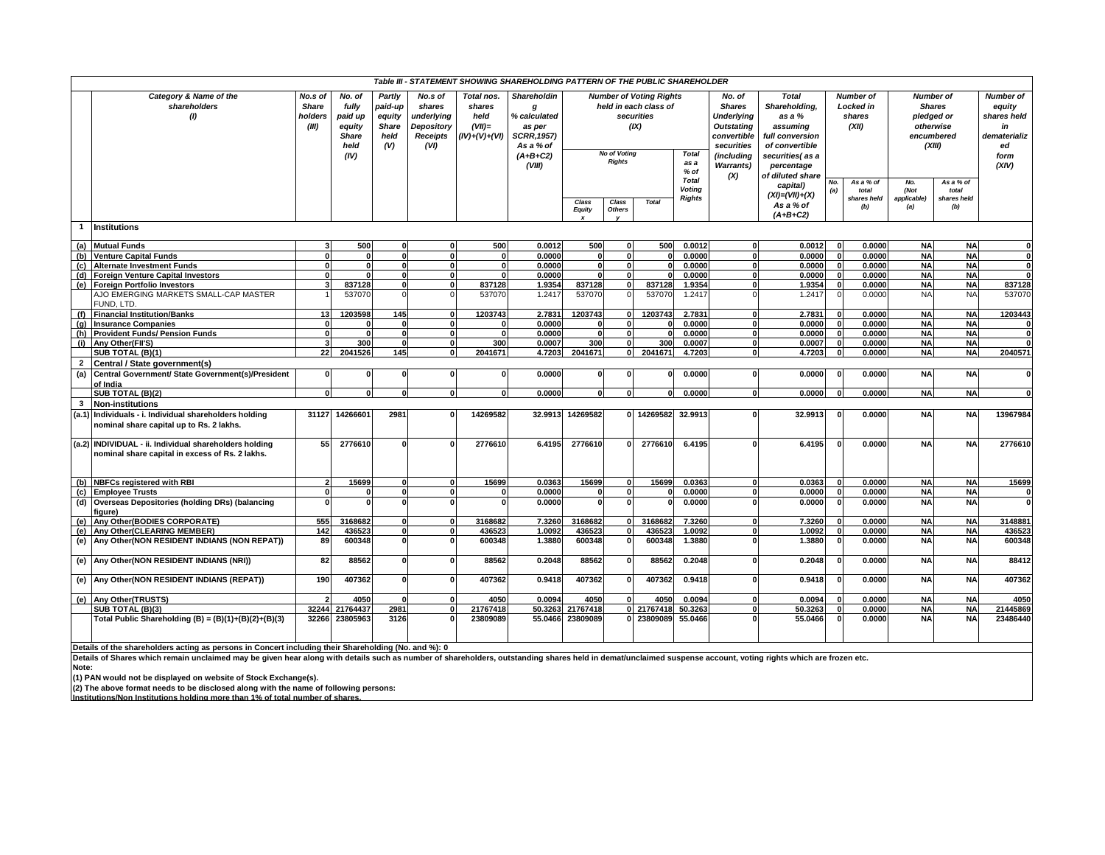|                |                                                                                                      |                                             |                                                                      |                                                            |                                                                                 |                                                            | Table III - STATEMENT SHOWING SHAREHOLDING PATTERN OF THE PUBLIC SHAREHOLDER                                 |                                                                                                                       |                        |                                                |                                                                                                                                          |                                                                                                                                               |                                                             |                                                               |                                                                                             |                            |                                                                                 |                   |
|----------------|------------------------------------------------------------------------------------------------------|---------------------------------------------|----------------------------------------------------------------------|------------------------------------------------------------|---------------------------------------------------------------------------------|------------------------------------------------------------|--------------------------------------------------------------------------------------------------------------|-----------------------------------------------------------------------------------------------------------------------|------------------------|------------------------------------------------|------------------------------------------------------------------------------------------------------------------------------------------|-----------------------------------------------------------------------------------------------------------------------------------------------|-------------------------------------------------------------|---------------------------------------------------------------|---------------------------------------------------------------------------------------------|----------------------------|---------------------------------------------------------------------------------|-------------------|
|                | Category & Name of the<br>shareholders<br>(1)                                                        | No.s of<br><b>Share</b><br>holders<br>(III) | No. of<br>fully<br>paid up<br>equity<br><b>Share</b><br>held<br>(IV) | Partly<br>paid-up<br>equity<br><b>Share</b><br>held<br>(V) | No.s of<br>shares<br>underlying<br><b>Depository</b><br><b>Receipts</b><br>(VI) | Total nos.<br>shares<br>held<br>$(VII)$ =<br>(IV)+(V)+(VI) | <b>Shareholdin</b><br>g<br>% calculated<br>as per<br><b>SCRR, 1957)</b><br>As a % of<br>$(A+B+C2)$<br>(VIII) | <b>Number of Voting Rights</b><br>held in each class of<br>securities<br>(IX)<br><b>No of Votina</b><br><b>Rights</b> |                        | <b>Total</b><br>as a<br>$%$ of<br><b>Total</b> | No. of<br><b>Shares</b><br><b>Underlying</b><br><b>Outstating</b><br>convertible<br>securities<br>(including<br><b>Warrants</b> )<br>(X) | <b>Total</b><br>Shareholding,<br>as a %<br>assuming<br>full conversion<br>of convertible<br>securities(as a<br>percentage<br>of diluted share | No.                                                         | Number of<br><b>Locked</b> in<br>shares<br>(XII)<br>As a % of | <b>Number of</b><br><b>Shares</b><br>pledged or<br>otherwise<br>encumbered<br>(XIII)<br>No. | As a % of                  | Number of<br>equity<br>shares held<br>in<br>dematerializ<br>ed<br>form<br>(XIV) |                   |
|                |                                                                                                      |                                             |                                                                      |                                                            |                                                                                 |                                                            |                                                                                                              | Class<br>Equity                                                                                                       | Class<br><b>Others</b> | <b>Total</b>                                   | Voting<br><b>Rights</b>                                                                                                                  |                                                                                                                                               | capital)<br>$(XI) = (VII) + (X)$<br>As a % of<br>$(A+B+C2)$ | (a)                                                           | total<br>shares held<br>(b)                                                                 | (Not<br>applicable)<br>(a) | total<br>shares held<br>(b)                                                     |                   |
|                | 1 Institutions                                                                                       |                                             |                                                                      |                                                            |                                                                                 |                                                            |                                                                                                              |                                                                                                                       |                        |                                                |                                                                                                                                          |                                                                                                                                               |                                                             |                                                               |                                                                                             |                            |                                                                                 |                   |
| (a)            | <b>Mutual Funds</b>                                                                                  |                                             | 500                                                                  | $\mathbf{0}$                                               | $\mathbf{0}$                                                                    | 500                                                        | 0.0012                                                                                                       | 500                                                                                                                   | $\Omega$               | 500                                            | 0.0012                                                                                                                                   | $\mathbf{0}$                                                                                                                                  | 0.0012                                                      |                                                               | 0.0000                                                                                      | <b>NA</b>                  | <b>NA</b>                                                                       |                   |
| (b)            | <b>Venture Capital Funds</b>                                                                         | U                                           | $\mathbf{0}$                                                         | o                                                          |                                                                                 |                                                            | 0.0000                                                                                                       | $\mathbf{0}$                                                                                                          | O                      | $\mathbf{0}$                                   | 0.0000                                                                                                                                   | $\overline{\mathbf{0}}$                                                                                                                       | 0.0000                                                      |                                                               | 0.0000                                                                                      | <b>NA</b>                  | <b>NA</b>                                                                       | 0                 |
| (c)            | Alternate Investment Funds                                                                           | $\Omega$                                    | $\mathbf{0}$                                                         | ٥I                                                         | $\Omega$                                                                        | $\Omega$                                                   | 0.0000                                                                                                       | $\mathbf{0}$                                                                                                          | $\mathbf{0}$           | $\mathbf{0}$                                   | 0.0000                                                                                                                                   | $\mathbf{0}$                                                                                                                                  | 0.0000                                                      |                                                               | 0.0000                                                                                      | <b>NA</b>                  | <b>NA</b>                                                                       | $\mathbf{0}$      |
| (d)            | <b>Foreign Venture Capital Investors</b>                                                             |                                             |                                                                      | n١                                                         | $\Omega$                                                                        |                                                            | 0.0000                                                                                                       |                                                                                                                       | $\mathbf{a}$           |                                                | 0.0000                                                                                                                                   | $\Omega$                                                                                                                                      | 0.0000                                                      |                                                               | 0.0000                                                                                      | <b>NA</b>                  | <b>NA</b>                                                                       |                   |
| (e)            | <b>Foreign Portfolio Investors</b>                                                                   |                                             | 837128                                                               | $\mathbf{0}$                                               | $\Omega$                                                                        | 837128                                                     | 1.9354                                                                                                       | 837128                                                                                                                | 0                      | 837128                                         | 1.9354                                                                                                                                   | $\mathbf{0}$                                                                                                                                  | 1.9354                                                      |                                                               | 0.0000                                                                                      | <b>NA</b>                  | <b>NA</b>                                                                       | 837128            |
|                | AJO EMERGING MARKETS SMALL-CAP MASTER                                                                |                                             | 537070                                                               |                                                            |                                                                                 | 537070                                                     | 1.2417                                                                                                       | 537070                                                                                                                |                        | 537070                                         | 1.2417                                                                                                                                   |                                                                                                                                               | 1.2417                                                      |                                                               | 0.0000                                                                                      | <b>NA</b>                  | <b>NA</b>                                                                       | 537070            |
|                | FUND. LTD.                                                                                           |                                             |                                                                      |                                                            |                                                                                 |                                                            |                                                                                                              |                                                                                                                       |                        |                                                |                                                                                                                                          |                                                                                                                                               |                                                             |                                                               |                                                                                             |                            |                                                                                 |                   |
| (f)            | <b>Financial Institution/Banks</b>                                                                   | 13                                          | 1203598                                                              | 145                                                        |                                                                                 | 1203743                                                    | 2.7831                                                                                                       | 1203743                                                                                                               |                        | 1203743                                        | 2.7831                                                                                                                                   | $\mathbf{0}$                                                                                                                                  | 2.7831                                                      |                                                               | 0.0000                                                                                      | <b>NA</b>                  | <b>NA</b>                                                                       | 1203443           |
| (q)            | <b>Insurance Companies</b>                                                                           | ŋ                                           |                                                                      | $\Omega$<br>0                                              | $\Omega$                                                                        | - 0<br>$\Omega$                                            | 0.0000                                                                                                       | 0                                                                                                                     | $\Omega$<br>$\Omega$   | $\Omega$                                       | 0.0000                                                                                                                                   | $\mathbf{0}$                                                                                                                                  | 0.0000                                                      |                                                               | 0.0000                                                                                      | <b>NA</b><br><b>NA</b>     | <b>NA</b>                                                                       | $\mathbf{0}$<br>0 |
| (h)            | <b>Provident Funds/ Pension Funds</b><br>(i) Any Other (FII'S)                                       |                                             | $\mathbf{0}$<br>300                                                  | $\mathbf{0}$                                               | $\mathbf{0}$<br>$\Omega$                                                        | 300                                                        | 0.0000<br>0.0007                                                                                             | $\mathbf{0}$<br>300                                                                                                   | $\mathbf{0}$           | $\mathbf{0}$<br>300                            | 0.0000<br>0.0007                                                                                                                         | $\mathbf{0}$<br>$\mathbf{0}$                                                                                                                  | 0.0000<br>0.0007                                            |                                                               | 0.0000<br>0.0000                                                                            | <b>NA</b>                  | <b>NA</b><br><b>NA</b>                                                          | $\mathbf{0}$      |
|                | SUB TOTAL (B)(1)                                                                                     | 22                                          | 2041526                                                              | 145                                                        | $\Omega$                                                                        | 2041671                                                    | 4.7203                                                                                                       | 2041671                                                                                                               | 0                      | 2041671                                        | 4.7203                                                                                                                                   | $\mathbf{0}$                                                                                                                                  | 4.7203                                                      |                                                               | 0.0000                                                                                      | <b>NA</b>                  | <b>NA</b>                                                                       | 2040571           |
| $\overline{2}$ | Central / State government(s)                                                                        |                                             |                                                                      |                                                            |                                                                                 |                                                            |                                                                                                              |                                                                                                                       |                        |                                                |                                                                                                                                          |                                                                                                                                               |                                                             |                                                               |                                                                                             |                            |                                                                                 |                   |
| (a)            | Central Government/ State Government(s)/President<br>of India                                        | O                                           | $\mathbf{0}$                                                         | 0                                                          | $\mathbf{0}$                                                                    | $\mathbf{0}$                                               | 0.0000                                                                                                       | 0                                                                                                                     | 0                      | $\mathbf 0$                                    | 0.0000                                                                                                                                   | $\mathbf{0}$                                                                                                                                  | 0.0000                                                      |                                                               | 0.0000                                                                                      | <b>NA</b>                  | <b>NA</b>                                                                       | $\mathbf{0}$      |
|                | SUB TOTAL (B)(2)                                                                                     |                                             | $\Omega$                                                             | 0                                                          | $\Omega$                                                                        | $\Omega$                                                   | 0.0000                                                                                                       | $\mathbf{0}$                                                                                                          | 0                      |                                                | 0.0000                                                                                                                                   | $\mathbf{0}$                                                                                                                                  | 0.0000                                                      |                                                               | 0.0000                                                                                      | <b>NA</b>                  | <b>NA</b>                                                                       | 0                 |
| 3              | <b>Non-institutions</b>                                                                              |                                             |                                                                      |                                                            |                                                                                 |                                                            |                                                                                                              |                                                                                                                       |                        |                                                |                                                                                                                                          |                                                                                                                                               |                                                             |                                                               |                                                                                             |                            |                                                                                 |                   |
|                | (a.1) Individuals - i. Individual shareholders holding<br>nominal share capital up to Rs. 2 lakhs.   | 31127                                       | 14266601                                                             | 2981                                                       |                                                                                 | 14269582                                                   | 32.9913                                                                                                      | 14269582                                                                                                              |                        | 0 14269582                                     | 32.9913                                                                                                                                  | $\mathbf{0}$                                                                                                                                  | 32.9913                                                     |                                                               | 0.0000                                                                                      | <b>NA</b>                  | <b>NA</b>                                                                       | 13967984          |
|                | (a.2) INDIVIDUAL - ii. Individual shareholders holding                                               | 55                                          | 2776610                                                              | U                                                          |                                                                                 | 2776610                                                    | 6.4195                                                                                                       | 2776610                                                                                                               | U                      | 2776610                                        | 6.4195                                                                                                                                   | $\Omega$                                                                                                                                      | 6.4195                                                      |                                                               | 0.0000                                                                                      | <b>NA</b>                  | <b>NA</b>                                                                       | 2776610           |
|                | nominal share capital in excess of Rs. 2 lakhs.                                                      |                                             |                                                                      |                                                            |                                                                                 |                                                            |                                                                                                              |                                                                                                                       |                        |                                                |                                                                                                                                          |                                                                                                                                               |                                                             |                                                               |                                                                                             |                            |                                                                                 |                   |
|                | (b) NBFCs registered with RBI                                                                        |                                             | 15699                                                                |                                                            |                                                                                 | 15699                                                      | 0.0363                                                                                                       | 15699                                                                                                                 | $\mathbf{0}$           | 15699                                          | 0.0363                                                                                                                                   | 0                                                                                                                                             | 0.0363                                                      |                                                               | 0.0000                                                                                      | <b>NA</b>                  | <b>NA</b>                                                                       | 15699             |
|                | (c) Employee Trusts                                                                                  |                                             | $\Omega$                                                             | <sub>0</sub>                                               | $\Omega$                                                                        | $\Omega$                                                   | 0.0000                                                                                                       | $\mathbf{0}$                                                                                                          | $\mathbf{0}$           |                                                | 0.0000                                                                                                                                   | $\mathbf{0}$                                                                                                                                  | 0.0000                                                      |                                                               | 0.0000                                                                                      | <b>NA</b>                  | <b>NA</b>                                                                       |                   |
| (d)            | Overseas Depositories (holding DRs) (balancing<br>fiaure)                                            |                                             | $\Omega$                                                             | U                                                          | $\Omega$                                                                        | $\Omega$                                                   | 0.0000                                                                                                       | $\mathbf{0}$                                                                                                          | $\Omega$               |                                                | 0.0000                                                                                                                                   | $\mathbf{0}$                                                                                                                                  | 0.0000                                                      |                                                               | 0.0000                                                                                      | <b>NA</b>                  | <b>NA</b>                                                                       | 0                 |
|                | (e) Any Other (BODIES CORPORATE)                                                                     | 555                                         | 3168682                                                              | 0                                                          | $\mathbf{0}$                                                                    | 3168682                                                    | 7.3260                                                                                                       | 3168682                                                                                                               | 0                      | 3168682                                        | 7.3260                                                                                                                                   | $\mathbf{0}$                                                                                                                                  | 7.3260                                                      |                                                               | 0.0000                                                                                      | <b>NA</b>                  | <b>NA</b>                                                                       | 3148881           |
|                | (e) Any Other (CLEARING MEMBER)                                                                      | 142                                         | 43652                                                                | οI                                                         | $\mathbf{0}$                                                                    | 436523                                                     | 1.0092                                                                                                       | 436523                                                                                                                | $\mathbf{0}$           | 436523                                         | 1.0092                                                                                                                                   | $\mathbf{0}$                                                                                                                                  | 1.0092                                                      |                                                               | 0.0000                                                                                      | <b>NA</b>                  | <b>NA</b>                                                                       | 436523            |
| (e)            | Any Other(NON RESIDENT INDIANS (NON REPAT))                                                          | 89                                          | 600348                                                               | $\mathbf{0}$                                               | $\Omega$                                                                        | 600348                                                     | 1.3880                                                                                                       | 600348                                                                                                                | $\Omega$               | 600348                                         | 1.3880                                                                                                                                   | $\mathbf{0}$                                                                                                                                  | 1.3880                                                      |                                                               | 0.0000                                                                                      | <b>NA</b>                  | <b>NA</b>                                                                       | 600348            |
|                | (e) Any Other (NON RESIDENT INDIANS (NRI))                                                           | 82                                          | 88562                                                                | n١                                                         | $\Omega$                                                                        | 88562                                                      | 0.2048                                                                                                       | 88562                                                                                                                 | $\mathbf{0}$           | 88562                                          | 0.2048                                                                                                                                   | <sup>0</sup>                                                                                                                                  | 0.2048                                                      |                                                               | 0.0000                                                                                      | <b>NA</b>                  | <b>NA</b>                                                                       | 88412             |
|                | (e) Any Other (NON RESIDENT INDIANS (REPAT))                                                         | 190                                         | 407362                                                               | <sup>0</sup>                                               | $\Omega$                                                                        | 407362                                                     | 0.9418                                                                                                       | 407362                                                                                                                | $\Omega$               | 407362                                         | 0.9418                                                                                                                                   | <sup>0</sup>                                                                                                                                  | 0.9418                                                      |                                                               | 0.0000                                                                                      | <b>NA</b>                  | <b>NA</b>                                                                       | 407362            |
|                | (e) Any Other(TRUSTS)                                                                                |                                             | 4050                                                                 | U                                                          | $\Omega$                                                                        | 4050                                                       | 0.0094                                                                                                       | 4050                                                                                                                  | O                      | 4050                                           | 0.0094                                                                                                                                   | $\mathbf{0}$                                                                                                                                  | 0.0094                                                      |                                                               | 0.0000                                                                                      | <b>NA</b>                  | <b>NA</b>                                                                       | 4050              |
|                | SUB TOTAL (B)(3)                                                                                     | 32244                                       | 21764437                                                             | 2981                                                       | $\Omega$                                                                        | 21767418                                                   | 50.3263                                                                                                      | 21767418                                                                                                              |                        | 0 21767418                                     | 50.3263                                                                                                                                  | $\mathbf{0}$                                                                                                                                  | 50.3263                                                     |                                                               | 0.0000                                                                                      | <b>NA</b>                  | <b>NA</b>                                                                       | 21445869          |
|                | Total Public Shareholding (B) = $(B)(1)+(B)(2)+(B)(3)$                                               | 32266                                       | 23805963                                                             | 3126                                                       |                                                                                 | 23809089                                                   | 55.0466                                                                                                      | 23809089                                                                                                              |                        | 23809089                                       | 55.0466                                                                                                                                  | $\Omega$                                                                                                                                      | 55.0466                                                     |                                                               | 0.0000                                                                                      | <b>NA</b>                  | <b>NA</b>                                                                       | 23486440          |
|                | Details of the shareholders acting as persons in Concert including their Shareholding (No. and %): 0 |                                             |                                                                      |                                                            |                                                                                 |                                                            |                                                                                                              |                                                                                                                       |                        |                                                |                                                                                                                                          |                                                                                                                                               |                                                             |                                                               |                                                                                             |                            |                                                                                 |                   |

Details of the shareholders acting as persons in Concert including their Shareholding (No. and %): 0<br>Details of Shares which remain unclaimed may be given hear along with details such as number of shareholders, outstandin

(1) PAN would not be displayed on website of Stock Exchange(s).<br>(2) The above format needs to be disclosed along with the name of following persons:<br>Institutions/Non Institutions holding more than 1% of total number of sha